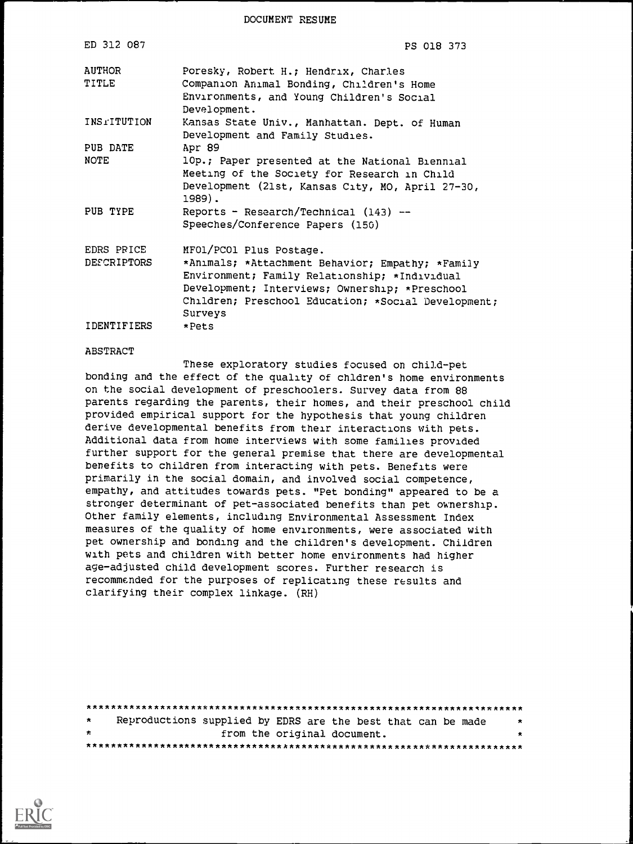DOCUMENT RESUME

| ED 312 087      | PS 018 373                                                                                                                                                                                                            |
|-----------------|-----------------------------------------------------------------------------------------------------------------------------------------------------------------------------------------------------------------------|
| AUTHOR<br>TITLE | Poresky, Robert H.; Hendrix, Charles<br>Companion Animal Bonding, Children's Home<br>Environments, and Young Children's Social<br>Development.                                                                        |
| INSTITUTION     | Kansas State Univ., Manhattan. Dept. of Human<br>Development and Family Studies.                                                                                                                                      |
| PUB DATE        | Apr 89                                                                                                                                                                                                                |
| <b>NOTE</b>     | 10p.; Paper presented at the National Biennial<br>Meeting of the Society for Research in Child<br>Development (21st, Kansas City, MO, April 27-30,<br>1989).                                                          |
| PUB TYPE        | Reports - Research/Technical (143) --<br>Speeches/Conference Papers (150)                                                                                                                                             |
| EDRS PRICE      | MFO1/PCO1 Plus Postage.                                                                                                                                                                                               |
| DESCRIPTORS     | *Animals; *Attachment Behavior; Empathy; *Family<br>Environment; Family Relationship; *Individual<br>Development; Interviews; Ownership; *Preschool<br>Children; Preschool Education; *Social Development;<br>Surveys |
| IDENTIFIERS     | *Pets                                                                                                                                                                                                                 |

#### **ABSTRACT**

These exploratory studies focused on child-pet bonding and the effect of the quality of chldren's home environments on the social development of preschoolers. Survey data from 88 parents regarding the parents, their homes, and their preschool child provided empirical support for the hypothesis that young children derive developmental benefits from their interactions with pets. Additional data from home interviews with some families provided further support for the general premise that there are developmental benefits to children from interacting with pets. Benefits were primarily in the social domain, and involved social competence, empathy, and attitudes towards pets. "Pet bonding" appeared to be a stronger determinant of pet-associated benefits than pet ownership. Other family elements, including Environmental Assessment Index measures of the quality of home environments, were associated with pet ownership and bonding and the children's development. Children with pets and children with better home environments had higher age-adjusted child development scores. Further research is recommended for the purposes of replicating these results and clarifying their complex linkage. (RH)

| $\star$ |  | Reproductions supplied by EDRS are the best that can be made | $\star$ |
|---------|--|--------------------------------------------------------------|---------|
| $\star$ |  | from the original document.                                  | $\star$ |
|         |  |                                                              |         |

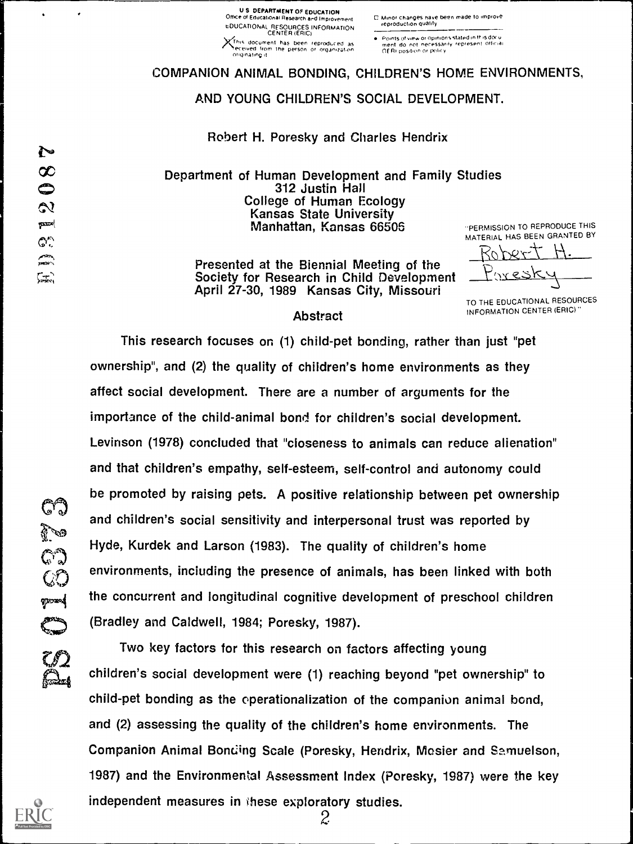**U S DEPARTMENT OF EDUCATION** Office of Educational Research and Improvement EDUCATIONAL RESOURCES INFORMATION XThis document has been reproduced as originating it.

. Points of view or coinions stated in this docu necessarily represent official ment do not necesse.<br>Of Ri position or policy

# COMPANION ANIMAL BONDING, CHILDREN'S HOME ENVIRONMENTS,

AND YOUNG CHILDREN'S SOCIAL DEVELOPMENT.

Robert H. Poresky and Charles Hendrix

Department of Human Development and Family Studies 312 Justin Hall **College of Human Ecology** Kansas State University Manhattan, Kansas 66506

"PERMISSION TO REPRODUCE THIS MATERIAL HAS BEEN GRANTED BY へ

Presented at the Biennial Meeting of the Society for Research in Child Development April 27-30, 1989 Kansas City, Missouri

TO THE EDUCATIONAL RESOURCES INFORMATION CENTER (ERIC)"

## **Abstract**

This research focuses on (1) child-pet bonding, rather than just "pet ownership", and (2) the quality of children's home environments as they affect social development. There are a number of arguments for the importance of the child-animal bond for children's social development. Levinson (1978) concluded that "closeness to animals can reduce alienation" and that children's empathy, self-esteem, self-control and autonomy could be promoted by raising pets. A positive relationship between pet ownership and children's social sensitivity and interpersonal trust was reported by Hyde, Kurdek and Larson (1983). The quality of children's home environments, including the presence of animals, has been linked with both the concurrent and longitudinal cognitive development of preschool children (Bradley and Caldwell, 1984; Poresky, 1987).

Two key factors for this research on factors affecting young children's social development were (1) reaching beyond "pet ownership" to child-pet bonding as the operationalization of the companion animal bond, and (2) assessing the quality of the children's home environments. The Companion Animal Bonding Scale (Poresky, Hendrix, Mesier and Samuelson, 1987) and the Environmental Assessment Index (Poresky, 1987) were the key independent measures in these exploratory studies.  $\mathcal{Z}$ 



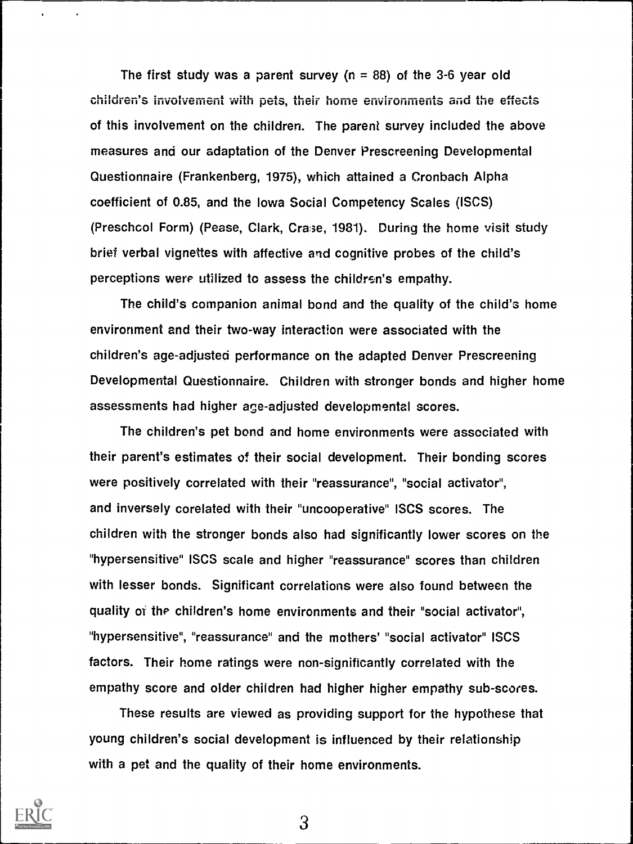The first study was a parent survey ( $n = 88$ ) of the 3-6 year old children's involvement with pets, their home environments and the effects of this involvement on the children. The parent survey included the above measures and our adaptation of the Denver Prescreening Developmental Questionnaire (Frankenberg, 1975), which attained a Cronbach Alpha coefficient of 0.85, and the Iowa Social Competency Scales (ISCS) (Preschool Form) (Pease, Clark, Cra>e, 1981). During the home visit study brief verbal vignettes with affective and cognitive probes of the child's perceptions were utilized to assess the children's empathy.

The child's companion animal bond and the quality of the child's home environment and their two-way interaction were associated with the children's age-adjusted performance on the adapted Denver Prescreening Developmental Questionnaire. Children with stronger bonds and higher home assessments had higher age-adjusted developmental scores.

The children's pet bond and home environments were associated with their parent's estimates of their social development. Their bonding scores were positively correlated with their "reassurance", "social activator", and inversely corelated with their "uncooperative" ISCS scores. The children with the stronger bonds also had significantly lower scores on the "hypersensitive" ISCS scale and higher "reassurance" scores than children with lesser bonds. Significant correlations were also found between the quality of the children's home environments and their "social activator", "hypersensitive", "reassurance" and the mothers' "social activator" ISCS factors. Their home ratings were non-significantly correlated with the empathy score and older children had higher higher empathy sub-scores.

These results are viewed as providing support for the hypothese that young children's social development is influenced by their relationship with a pet and the quality of their home environments.

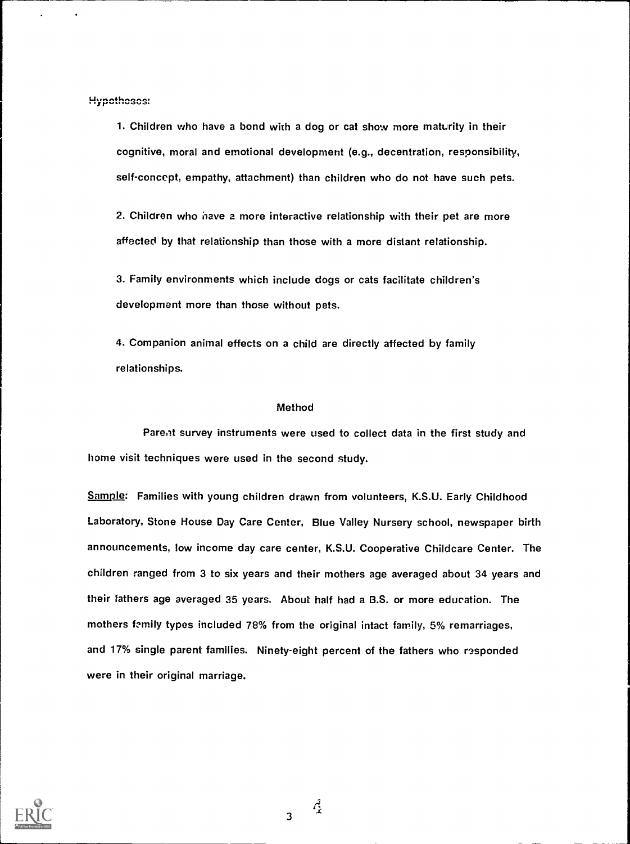Hypotheses:

1. Children who have a bond with a dog or cat show more maturity in their cognitive, moral and emotional development (e.g., decentration, responsibility, self-concept, empathy, attachment) than children who do not have such pets.

2. Children who have a more interactive relationship with their pet are more affected by that relationship than those with a more distant relationship.

3. Family environments which include dogs or cats facilitate children's development more than those without pets.

4. Companion animal effects on a child are directly affected by family relationships.

## Method

Parent survey instruments were used to collect data in the first study and home visit techniques were used in the second study.

Sample: Families with young children drawn from volunteers, K.S.U. Early Childhood Laboratory, Stone House Day Care Center, Blue Valley Nursery school, newspaper birth announcements, low income day care center, K.S.U. Cooperative Childcare Center. The children ranged from 3 to six years and their mothers age averaged about 34 years and their fathers age averaged 35 years. About half had a B.S. or more education. The mothers Emily types included 78% from the original intact family, 5% remarriages, and 17% single parent families. Ninety-eight percent of the fathers who responded were in their original marriage.



 $\mathcal{L}^3$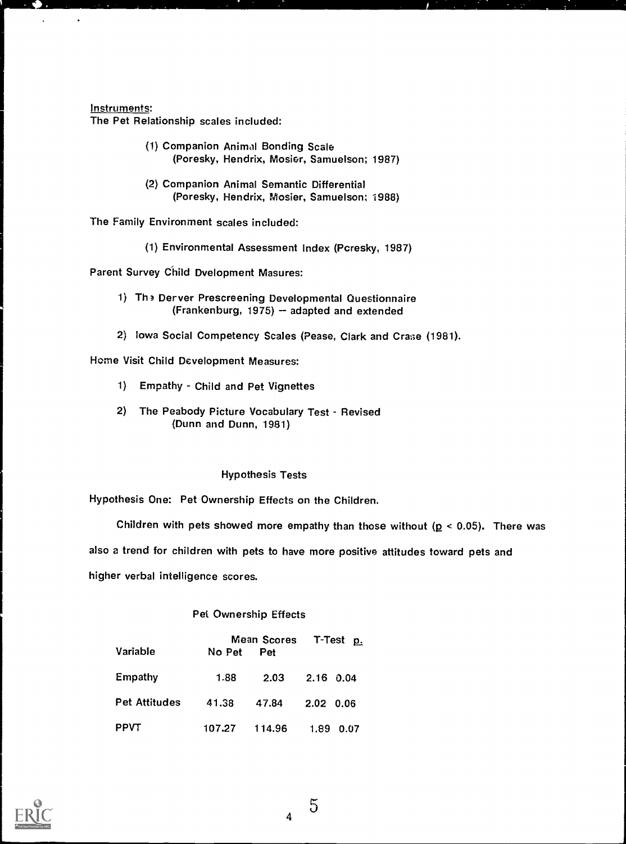## Instruments:

The Pet Relationship scales included:

| (1) Companion Animal Bonding Scale          |  |
|---------------------------------------------|--|
| (Poresky, Hendrix, Mosier, Samuelson; 1987) |  |

(2) Companion Animal Semantic Differential (Poresky, Hendrix, Mosier, Samuelson; 1988)

The Family Environment scales included:

(1) Environmental Assessment Index (Pcresky, 1987)

Parent Survey Child Dvelopment Masures:

- 1) The Derver Prescreening Developmental Questionnaire (Frankenburg, 1975)  $-$  adapted and extended
- 2) Iowa Social Competency Scales (Pease, Clark and Crase (1981).

Home Visit Child Development Measures:

- 1) Empathy Child and Pet Vignettes
- 2) The Peabody Picture Vocabulary Test Revised (Dunn and Dunn, 1981)

## Hypothesis Tests

Hypothesis One: Pet Ownership Effects on the Children.

Children with pets showed more empathy than those without ( $p < 0.05$ ). There was

also a trend for children with pets to have more positive attitudes toward pets and

higher verbal intelligence scores.

## Pet Ownership Effects

|               |            | Mean Scores T-Test p. |                    |  |
|---------------|------------|-----------------------|--------------------|--|
| Variable      | No Pet Pet |                       |                    |  |
| Empathy       | 1.88       |                       | $2.03$ $2.16$ 0.04 |  |
| Pet Attitudes | 41.38      | 47.84                 | 2.02 0.06          |  |
| PPVT          |            | 107.27 114.96         | 1.89 0.07          |  |

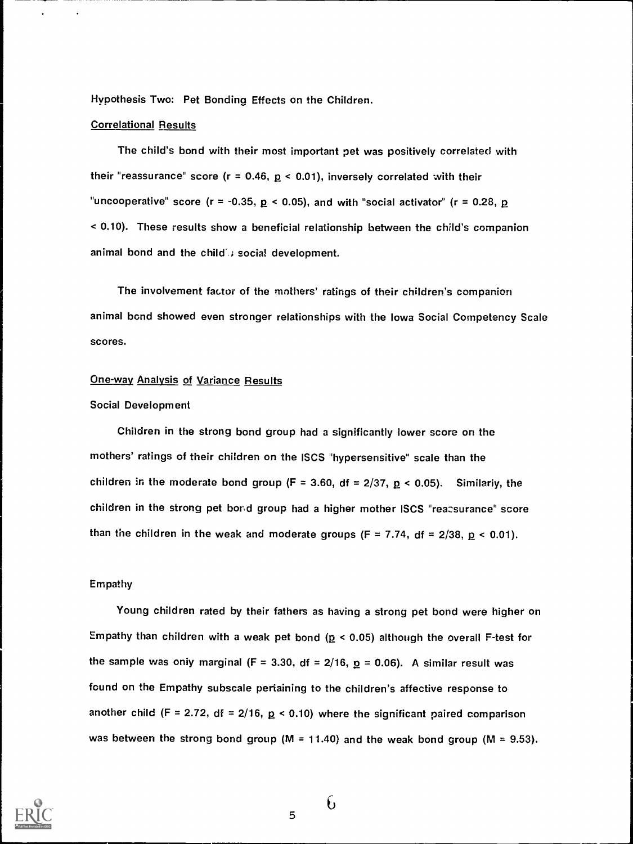Hypothesis Two: Pet Bonding Effects on the Children.

## Correlational Results

The child's bond with their most important pet was positively correlated with their "reassurance" score ( $r = 0.46$ ,  $p < 0.01$ ), inversely correlated with their "uncooperative" score ( $r = -0.35$ ,  $p < 0.05$ ), and with "social activator" ( $r = 0.28$ ,  $p$ < 0.10). These results show a beneficial relationship between the child's companion animal bond and the child's social development.

The involvement factor of the mothers' ratings of their children's companion animal bond showed even stronger relationships with the Iowa Social Competency Scale scores.

#### One-way Analysis of Variance Results

## Social Development

Children in the strong bond group had a significantly lower score on the mothers' ratings of their children on the ISCS "hypersensitive' scale than the children in the moderate bond group (F = 3.60, df = 2/37,  $p$  < 0.05). Similariy, the children in the strong pet bond group had a higher mother ISCS "reassurance" score than the children in the weak and moderate groups (F = 7.74, df =  $2/38$ ,  $p < 0.01$ ).

#### Empathy

Young children rated by their fathers as having a strong pet bond were higher on Empathy than children with a weak pet bond ( $p < 0.05$ ) although the overall F-test for the sample was only marginal (F = 3.30, df = 2/16,  $p = 0.06$ ). A similar result was found on the Empathy subscale pertaining to the children's affective response to another child (F = 2.72, df = 2/16,  $p$  < 0.10) where the significant paired comparison was between the strong bond group (M = 11.40) and the weak bond group (M = 9.53).



6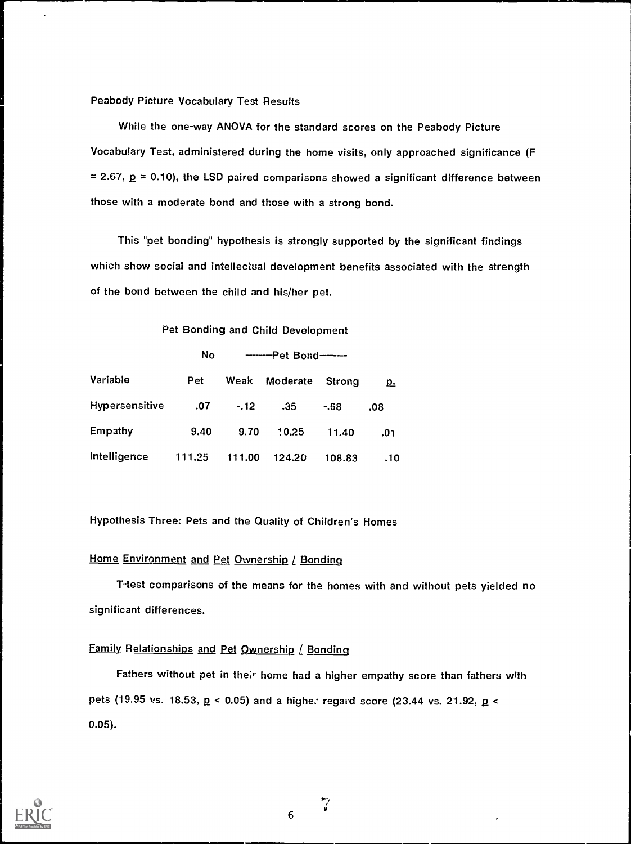Peabody Picture Vocabulary Test Results

While the one-way ANOVA for the standard scores on the Peabody Picture Vocabulary Test, administered during the home visits, only approached significance (F  $= 2.67$ ,  $p = 0.10$ ), the LSD paired comparisons showed a significant difference between those with a moderate bond and those with a strong bond.

This "pet bonding" hypothesis is strongly supported by the significant findings which show social and intellectual development benefits associated with the strength of the bond between the child and his/her pet.

Pet Bonding and Child Development

|                | <b>No</b> | --------- Pet Bond-------- |          |        |           |  |
|----------------|-----------|----------------------------|----------|--------|-----------|--|
| Variable       | Pet       | Weak                       | Moderate | Strong | <u>p.</u> |  |
| Hypersensitive | .07       | $-.12$                     | .35      | $-68$  | .08       |  |
| Empathy        | 9.40      | 9.70                       | 10.25    | 11.40  | 0٦.       |  |
| Intelligence   | 111.25    | 111.00                     | 124.20   | 108.83 | .10       |  |

Hypothesis Three: Pets and the Quality of Children's Homes

## Home Environment and Pet Ownership / Bonding

T-test comparisons of the means for the homes with and without pets yielded no significant differences.

## Family Relationships and Pet Ownership / Bonding

Fathers without pet in their home had a higher empathy score than fathers with pets (19.95 vs. 18.53,  $p$  < 0.05) and a highe: regard score (23.44 vs. 21.92,  $p$  < 0.05).



 $\ddot{v}$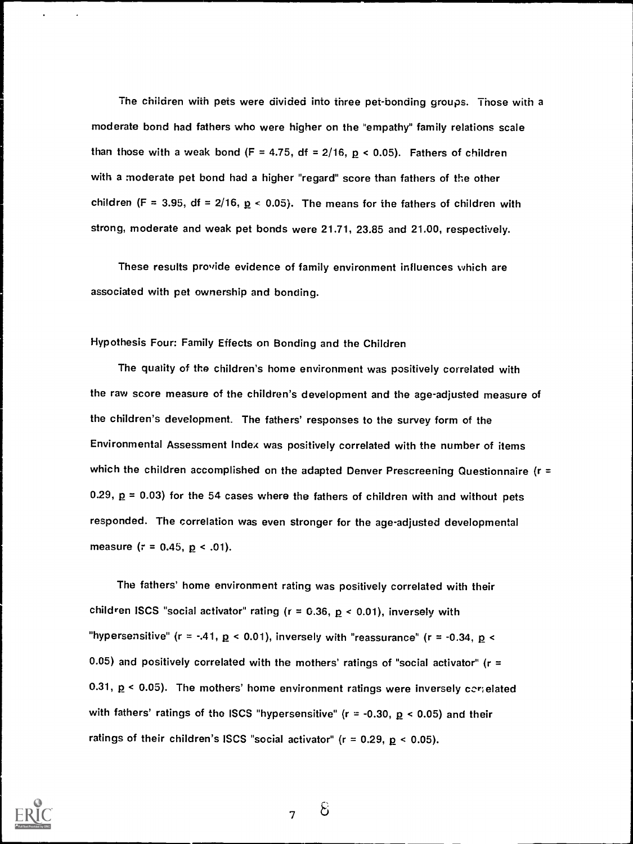The children with pets were divided into three pet-bonding groups. Those with a moderate bond had fathers who were higher on the "empathy" family relations scale than those with a weak bond (F = 4.75, df = 2/16,  $p \lt 0.05$ ). Fathers of children with a moderate pet bond had a higher "regard" score than fathers of the other children (F = 3.95, df =  $2/16$ ,  $p < 0.05$ ). The means for the fathers of children with strong, moderate and weak pet bonds were 21.71, 23.85 and 21.00, respectively.

These results provide evidence of family environment influences which are associated with pet ownership and bonding.

## Hypothesis Four: Family Effects on Bonding and the Children

The quality of the children's home environment was positively correlated with the raw score measure of the children's development and the age-adjusted measure of the children's development. The fathers' responses to the survey form of the Environmental Assessment Index was positively correlated with the number of items which the children accomplished on the adapted Denver Prescreening Questionnaire (r = 0.29,  $p = 0.03$ ) for the 54 cases where the fathers of children with and without pets responded. The correlation was even stronger for the age-adjusted developmental measure ( $r = 0.45$ ,  $p < .01$ ).

The fathers' home environment rating was positively correlated with their children ISCS "social activator" rating ( $r = 0.36$ ,  $p < 0.01$ ), inversely with "hypersensitive" (r = -.41,  $p$  < 0.01), inversely with "reassurance" (r = -0.34,  $p$  < 0.05) and positively correlated with the mothers' ratings of "social activator" ( $r =$ 0.31,  $p$  < 0.05). The mothers' home environment ratings were inversely correlated with fathers' ratings of the ISCS "hypersensitive" ( $r = -0.30$ ,  $p < 0.05$ ) and their ratings of their children's ISCS "social activator" ( $r = 0.29$ ,  $p < 0.05$ ).



7

 $\mathcal{E}$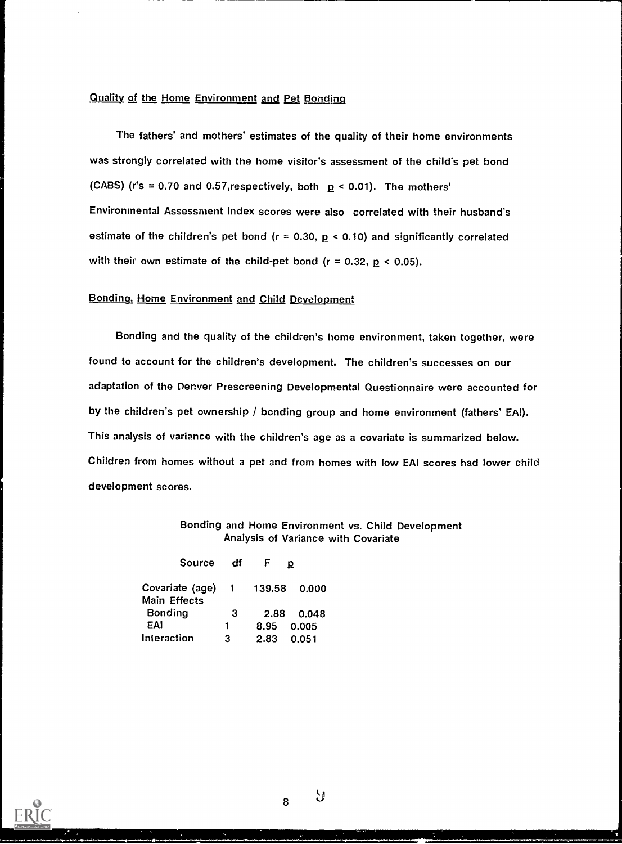## Quality of the Home Environment and Pet Bonding

The fathers' and mothers' estimates of the quality of their home environments was strongly correlated with the home visitor's assessment of the child's pet bond (CABS) (r's = 0.70 and 0.57, respectively, both  $p < 0.01$ ). The mothers' Environmental Assessment Index scores were also correlated with their husband's estimate of the children's pet bond ( $r = 0.30$ ,  $p < 0.10$ ) and significantly correlated with their own estimate of the child-pet bond ( $r = 0.32$ ,  $p < 0.05$ ).

## Bonding, Home Environment and Child Development

Bonding and the quality of the children's home environment, taken together, were found to account for the children's development. The children's successes on our adaptation of the Denver Prescreening Developmental Questionnaire were accounted for by the children's pet ownership / bonding group and home environment (fathers' EA!). This analysis of variance with the children's age as a covariate is summarized below. Children from homes without a pet and from homes with low EAI scores had lower child development scores.

## Bonding and Home Environment vs. Child Development Analysis of Variance with Covariate

| Source                          | -df |                     |
|---------------------------------|-----|---------------------|
| Covariate (age)<br>Main Effects |     | 1 139.58<br>- 0.000 |
| <b>Bonding</b>                  | -3  | 2.88<br>0.048       |
| EAI                             | 1.  | 8.95<br>0.005       |
| Interaction                     | з   | 2.83<br>0.051       |

y